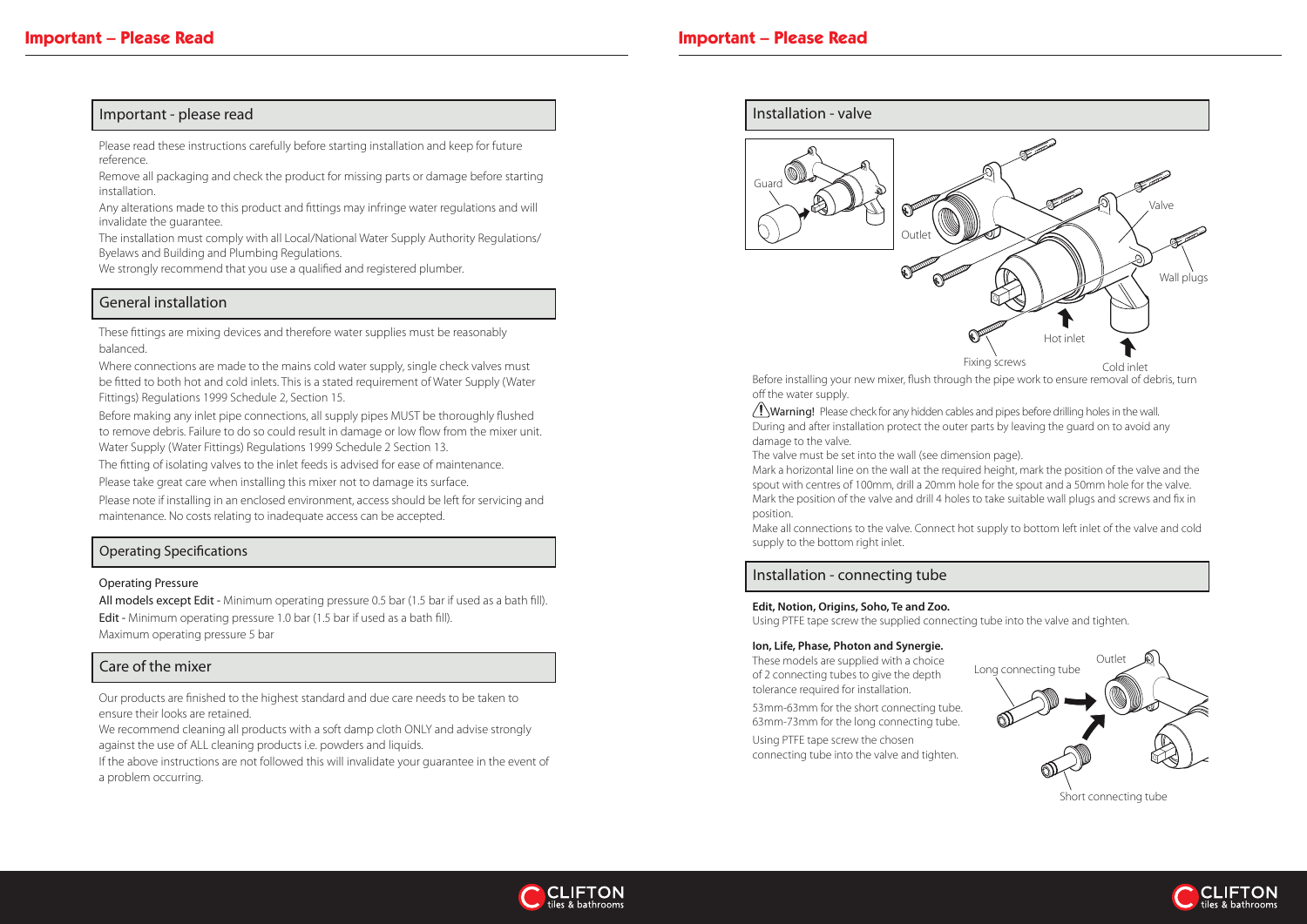Before installing your new mixer, flush through the pipe work to ensure removal of debris, turn off the water supply.

 $\langle ! \rangle$ Warning! Please check for any hidden cables and pipes before drilling holes in the wall. During and after installation protect the outer parts by leaving the guard on to avoid any damage to the valve.

The valve must be set into the wall (see dimension page). Mark a horizontal line on the wall at the required height, mark the position of the valve and the spout with centres of 100mm, drill a 20mm hole for the spout and a 50mm hole for the valve. Mark the position of the valve and drill 4 holes to take suitable wall plugs and screws and fix in position.





Make all connections to the valve. Connect hot supply to bottom left inlet of the valve and cold supply to the bottom right inlet.

## Installation - connecting tube

### **Ion, Life, Phase, Photon and Synergie.**

These models are supplied with a choice of 2 connecting tubes to give the depth tolerance required for installation.





53mm-63mm for the short connecting tube. 63mm-73mm for the long connecting tube.

Using PTFE tape screw the chosen connecting tube into the valve and tighten.



### **Edit, Notion, Origins, Soho, Te and Zoo.**

Using PTFE tape screw the supplied connecting tube into the valve and tighten.

## Important - please read

Please read these instructions carefully before starting installation and keep for future reference.

Remove all packaging and check the product for missing parts or damage before starting installation.

Any alterations made to this product and fittings may infringe water regulations and will invalidate the guarantee.

All models except Edit - Minimum operating pressure 0.5 bar (1.5 bar if used as a bath fill). Edit - Minimum operating pressure 1.0 bar (1.5 bar if used as a bath fill). Maximum operating pressure 5 bar

The installation must comply with all Local/National Water Supply Authority Regulations/ Byelaws and Building and Plumbing Regulations.

We strongly recommend that you use a qualified and registered plumber.

## General installation

These fittings are mixing devices and therefore water supplies must be reasonably balanced.

Where connections are made to the mains cold water supply, single check valves must be fitted to both hot and cold inlets. This is a stated requirement of Water Supply (Water Fittings) Regulations 1999 Schedule 2, Section 15.

Before making any inlet pipe connections, all supply pipes MUST be thoroughly flushed to remove debris. Failure to do so could result in damage or low flow from the mixer unit. Water Supply (Water Fittings) Regulations 1999 Schedule 2 Section 13.

The fitting of isolating valves to the inlet feeds is advised for ease of maintenance.

Please take great care when installing this mixer not to damage its surface.

Please note if installing in an enclosed environment, access should be left for servicing and maintenance. No costs relating to inadequate access can be accepted.

## Care of the mixer

Our products are finished to the highest standard and due care needs to be taken to ensure their looks are retained.

We recommend cleaning all products with a soft damp cloth ONLY and advise strongly against the use of ALL cleaning products i.e. powders and liquids.

If the above instructions are not followed this will invalidate your guarantee in the event of a problem occurring.

## Operating Specifications

### Operating Pressure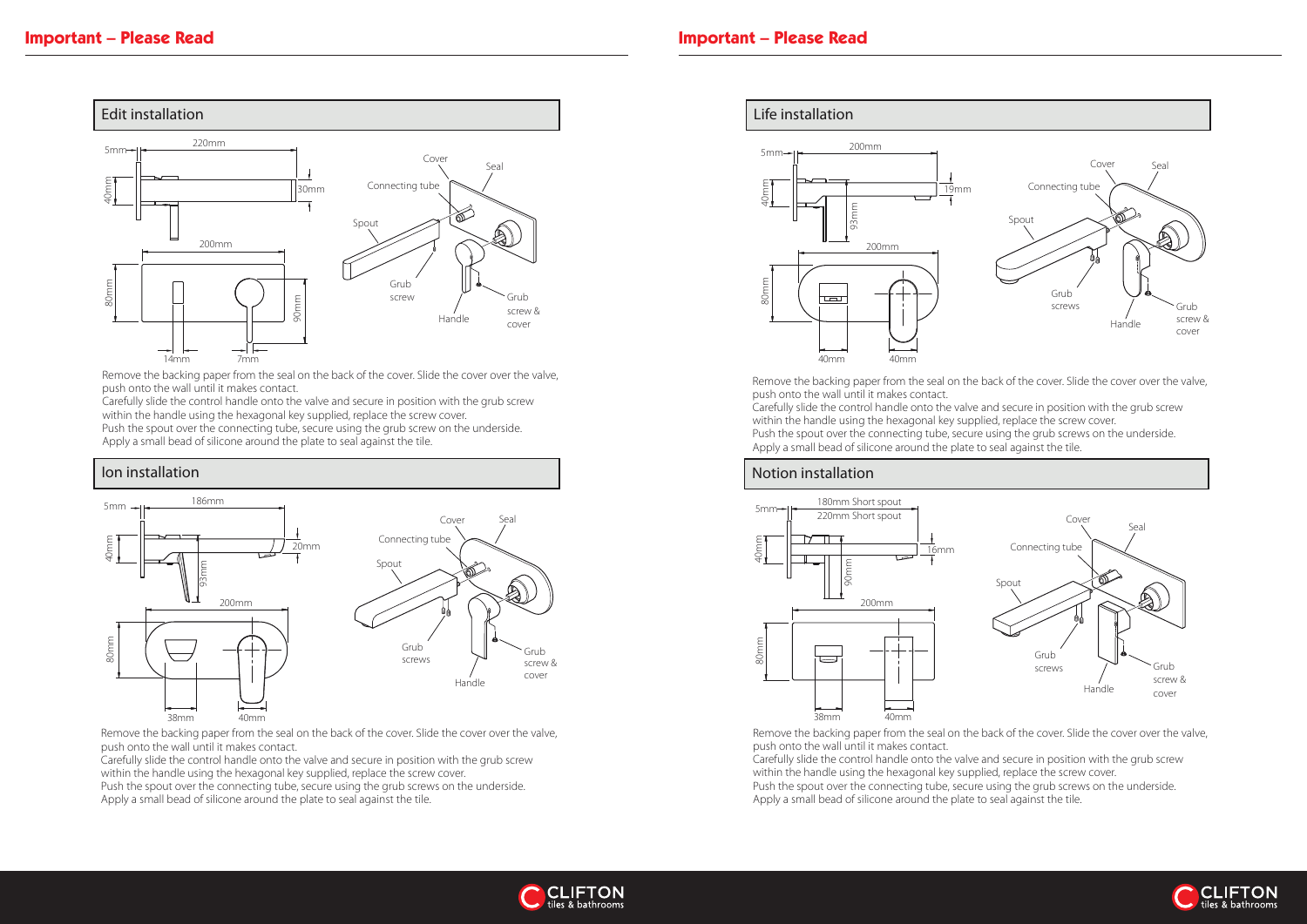Remove the backing paper from the seal on the back of the cover. Slide the cover over the valve, push onto the wall until it makes contact. Carefully slide the control handle onto the valve and secure in position with the grub screw within the handle using the hexagonal key supplied, replace the screw cover. Push the spout over the connecting tube, secure using the grub screws on the underside. Apply a small bead of silicone around the plate to seal against the tile.

## Notion installation



Carefully slide the control handle onto the valve and secure in position with the grub screw within the handle using the hexagonal key supplied, replace the screw cover.

> Remove the backing paper from the seal on the back of the cover. Slide the cover over the valve, push onto the wall until it makes contact. Carefully slide the control handle onto the valve and secure in position with the grub screw within the handle using the hexagonal key supplied, replace the screw cover. Push the spout over the connecting tube, secure using the grub screws on the underside. Apply a small bead of silicone around the plate to seal against the tile.









- 
- 
- 



Remove the backing paper from the seal on the back of the cover. Slide the cover over the valve, push onto the wall until it makes contact.



Push the spout over the connecting tube, secure using the grub screw on the underside. Apply a small bead of silicone around the plate to seal against the tile.

## Ion installation

Remove the backing paper from the seal on the back of the cover. Slide the cover over the valve, push onto the wall until it makes contact.

Carefully slide the control handle onto the valve and secure in position with the grub screw within the handle using the hexagonal key supplied, replace the screw cover. Push the spout over the connecting tube, secure using the grub screws on the underside.

Apply a small bead of silicone around the plate to seal against the tile.

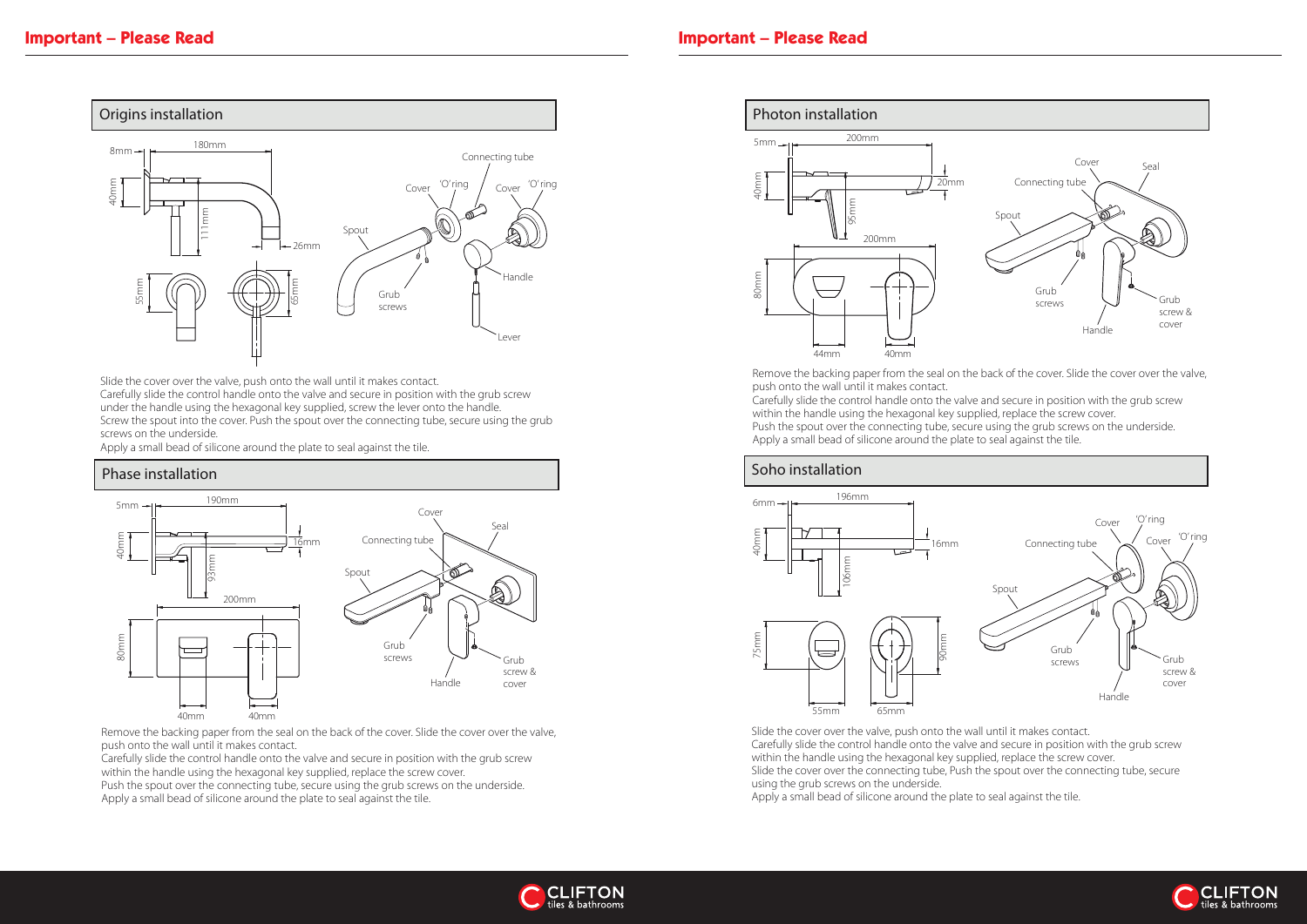Remove the backing paper from the seal on the back of the cover. Slide the cover over the valve, push onto the wall until it makes contact. Carefully slide the control handle onto the valve and secure in position with the grub screw within the handle using the hexagonal key supplied, replace the screw cover. Push the spout over the connecting tube, secure using the grub screws on the underside. Apply a small bead of silicone around the plate to seal against the tile.



Slide the cover over the valve, push onto the wall until it makes contact. Carefully slide the control handle onto the valve and secure in position with the grub screw within the handle using the hexagonal key supplied, replace the screw cover. Slide the cover over the connecting tube, Push the spout over the connecting tube, secure using the grub screws on the underside.



Remove the backing paper from the seal on the back of the cover. Slide the cover over the valve, push onto the wall until it makes contact.

Apply a small bead of silicone around the plate to seal against the tile.



- 
- 





Slide the cover over the valve, push onto the wall until it makes contact. Carefully slide the control handle onto the valve and secure in position with the grub screw under the handle using the hexagonal key supplied, screw the lever onto the handle. Screw the spout into the cover. Push the spout over the connecting tube, secure using the grub screws on the underside.

Apply a small bead of silicone around the plate to seal against the tile.

## Phase installation



Carefully slide the control handle onto the valve and secure in position with the grub screw within the handle using the hexagonal key supplied, replace the screw cover. Push the spout over the connecting tube, secure using the grub screws on the underside.

Apply a small bead of silicone around the plate to seal against the tile.

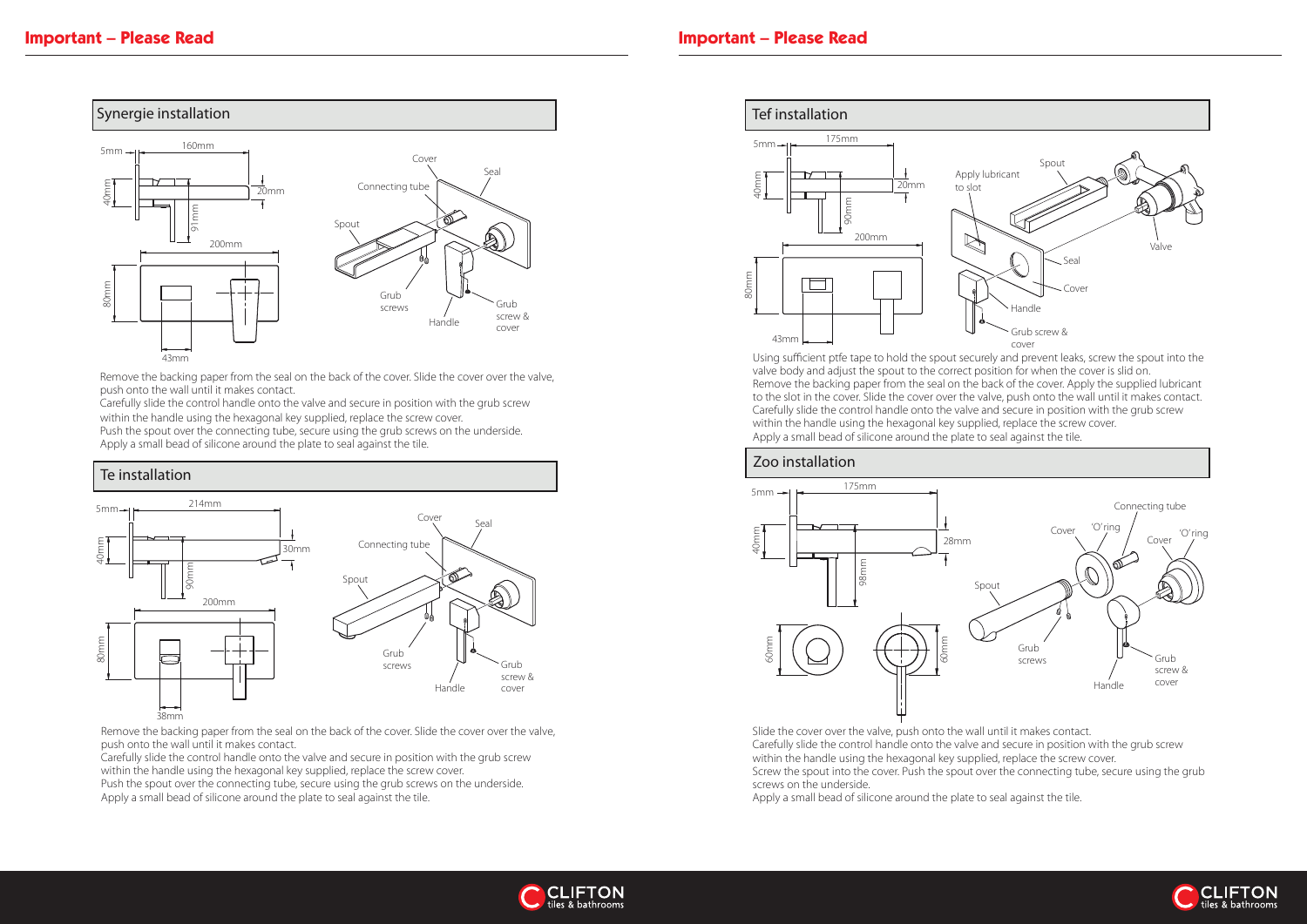# Zoo installation



valve body and adjust the spout to the correct position for when the cover is slid on. Remove the backing paper from the seal on the back of the cover. Apply the supplied lubricant to the slot in the cover. Slide the cover over the valve, push onto the wall until it makes contact. Carefully slide the control handle onto the valve and secure in position with the grub screw within the handle using the hexagonal key supplied, replace the screw cover. Apply a small bead of silicone around the plate to seal against the tile.



Slide the cover over the valve, push onto the wall until it makes contact. Carefully slide the control handle onto the valve and secure in position with the grub screw within the handle using the hexagonal key supplied, replace the screw cover. Screw the spout into the cover. Push the spout over the connecting tube, secure using the grub screws on the underside.

Apply a small bead of silicone around the plate to seal against the tile.





Remove the backing paper from the seal on the back of the cover. Slide the cover over the valve, push onto the wall until it makes contact.

Carefully slide the control handle onto the valve and secure in position with the grub screw within the handle using the hexagonal key supplied, replace the screw cover. Push the spout over the connecting tube, secure using the grub screws on the underside.

Apply a small bead of silicone around the plate to seal against the tile.



# Te installation

Remove the backing paper from the seal on the back of the cover. Slide the cover over the valve, push onto the wall until it makes contact.

Carefully slide the control handle onto the valve and secure in position with the grub screw within the handle using the hexagonal key supplied, replace the screw cover. Push the spout over the connecting tube, secure using the grub screws on the underside. Apply a small bead of silicone around the plate to seal against the tile.